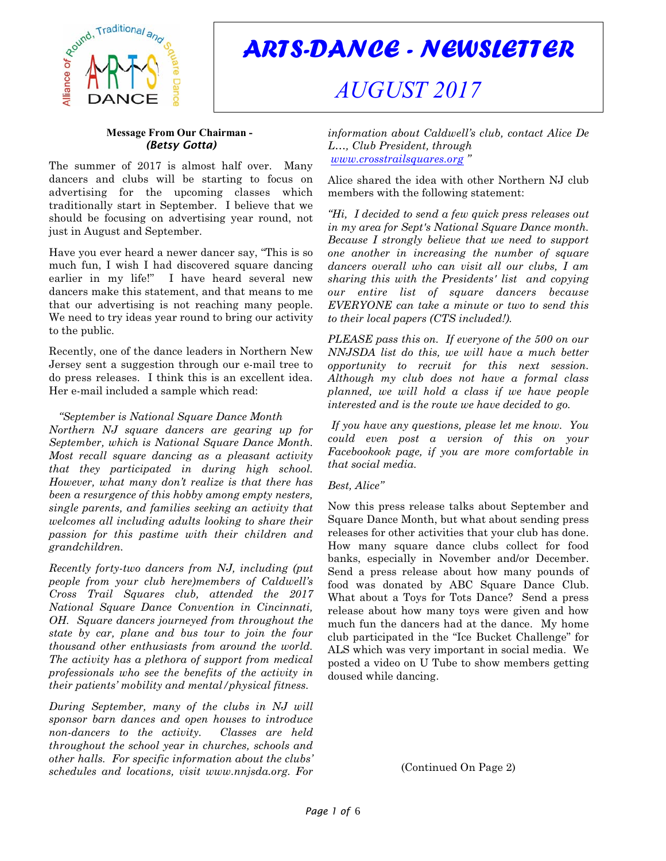

# *ARTS-DANCE - NEWSLETTER*

# *AUGUST 2017*

# **Message From Our Chairman -**  *(Betsy Gotta)*

The summer of 2017 is almost half over. Many dancers and clubs will be starting to focus on advertising for the upcoming classes which traditionally start in September. I believe that we should be focusing on advertising year round, not just in August and September.

Have you ever heard a newer dancer say, "This is so much fun, I wish I had discovered square dancing earlier in my life!" I have heard several new dancers make this statement, and that means to me that our advertising is not reaching many people. We need to try ideas year round to bring our activity to the public.

Recently, one of the dance leaders in Northern New Jersey sent a suggestion through our e-mail tree to do press releases. I think this is an excellent idea. Her e-mail included a sample which read:

# *"September is National Square Dance Month*

*Northern NJ square dancers are gearing up for September, which is National Square Dance Month. Most recall square dancing as a pleasant activity that they participated in during high school. However, what many don't realize is that there has been a resurgence of this hobby among empty nesters, single parents, and families seeking an activity that welcomes all including adults looking to share their passion for this pastime with their children and grandchildren.*

*Recently forty-two dancers from NJ, including (put people from your club here)members of Caldwell's Cross Trail Squares club, attended the 2017 National Square Dance Convention in Cincinnati, OH. Square dancers journeyed from throughout the state by car, plane and bus tour to join the four thousand other enthusiasts from around the world. The activity has a plethora of support from medical professionals who see the benefits of the activity in their patients' mobility and mental/physical fitness.* 

*During September, many of the clubs in NJ will sponsor barn dances and open houses to introduce non-dancers to the activity. Classes are held throughout the school year in churches, schools and other halls. For specific information about the clubs' schedules and locations, visit www.nnjsda.org. For* *information about Caldwell's club, contact Alice De L…, Club President, through [www.crosstrailsquares.org](http://www.crosstrailsquares.org) "*

Alice shared the idea with other Northern NJ club members with the following statement:

*"Hi, I decided to send a few quick press releases out in my area for Sept's National Square Dance month. Because I strongly believe that we need to support one another in increasing the number of square dancers overall who can visit all our clubs, I am sharing this with the Presidents' list and copying our entire list of square dancers because EVERYONE can take a minute or two to send this to their local papers (CTS included!).* 

*PLEASE pass this on. If everyone of the 500 on our NNJSDA list do this, we will have a much better opportunity to recruit for this next session. Although my club does not have a formal class planned, we will hold a class if we have people interested and is the route we have decided to go.*

 *If you have any questions, please let me know. You could even post a version of this on your Facebookook page, if you are more comfortable in that social media.*

#### *Best, Alice"*

Now this press release talks about September and Square Dance Month, but what about sending press releases for other activities that your club has done. How many square dance clubs collect for food banks, especially in November and/or December. Send a press release about how many pounds of food was donated by ABC Square Dance Club. What about a Toys for Tots Dance? Send a press release about how many toys were given and how much fun the dancers had at the dance. My home club participated in the "Ice Bucket Challenge" for ALS which was very important in social media. We posted a video on U Tube to show members getting doused while dancing.

(Continued On Page 2)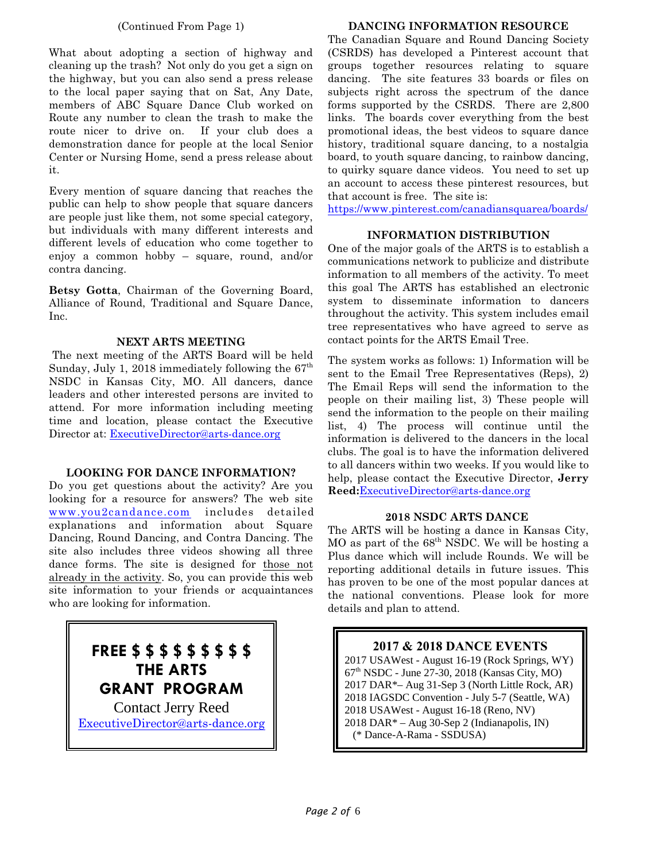#### (Continued From Page 1)

What about adopting a section of highway and cleaning up the trash? Not only do you get a sign on the highway, but you can also send a press release to the local paper saying that on Sat, Any Date, members of ABC Square Dance Club worked on Route any number to clean the trash to make the route nicer to drive on. If your club does a demonstration dance for people at the local Senior Center or Nursing Home, send a press release about it.

Every mention of square dancing that reaches the public can help to show people that square dancers are people just like them, not some special category, but individuals with many different interests and different levels of education who come together to enjoy a common hobby – square, round, and/or contra dancing.

**Betsy Gotta**, Chairman of the Governing Board, Alliance of Round, Traditional and Square Dance, Inc.

#### **NEXT ARTS MEETING**

The next meeting of the ARTS Board will be held Sunday, July 1, 2018 immediately following the  $67<sup>th</sup>$ NSDC in Kansas City, MO. All dancers, dance leaders and other interested persons are invited to attend. For more information including meeting time and location, please contact the Executive Director at: [ExecutiveDirector@arts-dance.org](mailto:ExecutiveDirector@arts-dance.org)

# **LOOKING FOR DANCE INFORMATION?**

Do you get questions about the activity? Are you looking for a resource for answers? The web site [www.you2candance.com](http://www.you2candance.com) includes detailed explanations and information about Square Dancing, Round Dancing, and Contra Dancing. The site also includes three videos showing all three dance forms. The site is designed for those not already in the activity. So, you can provide this web site information to your friends or acquaintances who are looking for information.

> **FREE \$ \$ \$ \$ \$ \$ \$ \$ \$ THE ARTS GRANT PROGRAM** Contact Jerry Reed [ExecutiveDirector@arts-dance.org](mailto:ExecutiveDirector@arts-dance.org)

#### **DANCING INFORMATION RESOURCE**

The Canadian Square and Round Dancing Society (CSRDS) has developed a Pinterest account that groups together resources relating to square dancing. The site features 33 boards or files on subjects right across the spectrum of the dance forms supported by the CSRDS. There are 2,800 links. The boards cover everything from the best promotional ideas, the best videos to square dance history, traditional square dancing, to a nostalgia board, to youth square dancing, to rainbow dancing, to quirky square dance videos. You need to set up an account to access these pinterest resources, but that account is free. The site is:

<https://www.pinterest.com/canadiansquarea/boards/>

# **INFORMATION DISTRIBUTION**

One of the major goals of the ARTS is to establish a communications network to publicize and distribute information to all members of the activity. To meet this goal The ARTS has established an electronic system to disseminate information to dancers throughout the activity. This system includes email tree representatives who have agreed to serve as contact points for the ARTS Email Tree.

The system works as follows: 1) Information will be sent to the Email Tree Representatives (Reps), 2) The Email Reps will send the information to the people on their mailing list, 3) These people will send the information to the people on their mailing list, 4) The process will continue until the information is delivered to the dancers in the local clubs. The goal is to have the information delivered to all dancers within two weeks. If you would like to help, please contact the Executive Director, **Jerry Reed:**[ExecutiveDirector@arts-dance.org](mailto:at:ExecutiveDirector@arts-dance.org)

# **2018 NSDC ARTS DANCE**

The ARTS will be hosting a dance in Kansas City,  $MO$  as part of the  $68<sup>th</sup>$  NSDC. We will be hosting a Plus dance which will include Rounds. We will be reporting additional details in future issues. This has proven to be one of the most popular dances at the national conventions. Please look for more details and plan to attend.

# **2017 & 2018 DANCE EVENTS**

2017 USAWest - August 16-19 (Rock Springs, WY) 67th NSDC - June 27-30, 2018 (Kansas City, MO) 2017 DAR\*– Aug 31-Sep 3 (North Little Rock, AR) 2018 IAGSDC Convention - July 5-7 (Seattle, WA) 2018 USAWest - August 16-18 (Reno, NV) 2018 DAR\* – Aug 30-Sep 2 (Indianapolis, IN) (\* Dance-A-Rama - SSDUSA)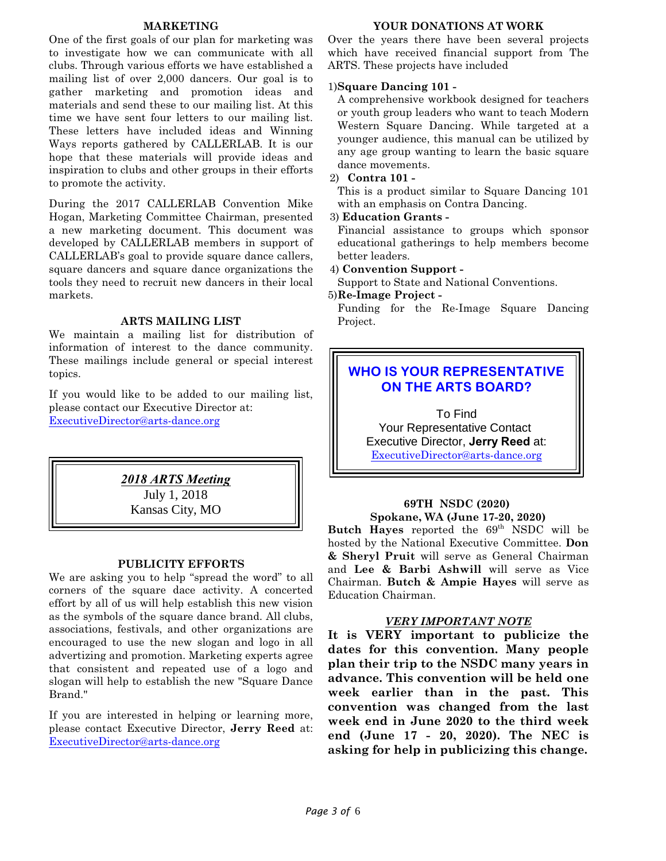#### **MARKETING**

One of the first goals of our plan for marketing was to investigate how we can communicate with all clubs. Through various efforts we have established a mailing list of over 2,000 dancers. Our goal is to gather marketing and promotion ideas and materials and send these to our mailing list. At this time we have sent four letters to our mailing list. These letters have included ideas and Winning Ways reports gathered by CALLERLAB. It is our hope that these materials will provide ideas and inspiration to clubs and other groups in their efforts to promote the activity.

During the 2017 CALLERLAB Convention Mike Hogan, Marketing Committee Chairman, presented a new marketing document. This document was developed by CALLERLAB members in support of CALLERLAB's goal to provide square dance callers, square dancers and square dance organizations the tools they need to recruit new dancers in their local markets.

#### **ARTS MAILING LIST**

We maintain a mailing list for distribution of information of interest to the dance community. These mailings include general or special interest topics.

If you would like to be added to our mailing list, please contact our Executive Director at: [ExecutiveDirector@arts-dance.org](mailto:ExecutiveDirector@arts-dance.org)



#### **PUBLICITY EFFORTS**

We are asking you to help "spread the word" to all corners of the square dace activity. A concerted effort by all of us will help establish this new vision as the symbols of the square dance brand. All clubs, associations, festivals, and other organizations are encouraged to use the new slogan and logo in all advertizing and promotion. Marketing experts agree that consistent and repeated use of a logo and slogan will help to establish the new "Square Dance Brand."

If you are interested in helping or learning more, please contact Executive Director, **Jerry Reed** at: [ExecutiveDirector@arts-dance.org](mailto:ExecutiveDirector@arts-dance.org)

#### **YOUR DONATIONS AT WORK**

Over the years there have been several projects which have received financial support from The ARTS. These projects have included

#### 1)**Square Dancing 101 -**

A comprehensive workbook designed for teachers or youth group leaders who want to teach Modern Western Square Dancing. While targeted at a younger audience, this manual can be utilized by any age group wanting to learn the basic square dance movements.

#### 2) **Contra 101 -**

This is a product similar to Square Dancing 101 with an emphasis on Contra Dancing.

#### 3) **Education Grants -**

Financial assistance to groups which sponsor educational gatherings to help members become better leaders.

#### 4) **Convention Support -**

Support to State and National Conventions.

#### 5)**Re-Image Project -**

Funding for the Re-Image Square Dancing Project.

# **WHO IS YOUR REPRESENTATIVE ON THE ARTS BOARD?**

 To Find Your Representative Contact Executive Director, **Jerry Reed** at: [ExecutiveDirector@arts-dance.org](mailto:ExecutiveDirector@arts-dance.org)

### **69TH NSDC (2020) Spokane, WA (June 17-20, 2020)**

Butch Hayes reported the 69<sup>th</sup> NSDC will be hosted by the National Executive Committee. **Don & Sheryl Pruit** will serve as General Chairman and **Lee & Barbi Ashwill** will serve as Vice Chairman. **Butch & Ampie Hayes** will serve as Education Chairman.

#### *VERY IMPORTANT NOTE*

**It is VERY important to publicize the dates for this convention. Many people plan their trip to the NSDC many years in advance. This convention will be held one week earlier than in the past. This convention was changed from the last week end in June 2020 to the third week end (June 17 - 20, 2020). The NEC is asking for help in publicizing this change.**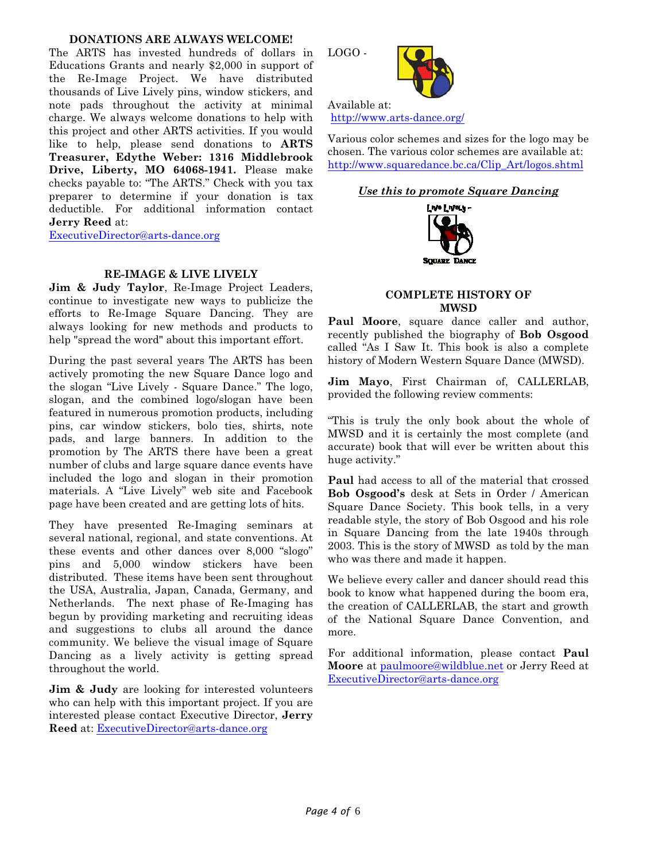### **DONATIONS ARE ALWAYS WELCOME!**

The ARTS has invested hundreds of dollars in Educations Grants and nearly \$2,000 in support of the Re-Image Project. We have distributed thousands of Live Lively pins, window stickers, and note pads throughout the activity at minimal charge. We always welcome donations to help with this project and other ARTS activities. If you would like to help, please send donations to **ARTS Treasurer, Edythe Weber: 1316 Middlebrook Drive, Liberty, MO 64068-1941.** Please make checks payable to: "The ARTS." Check with you tax preparer to determine if your donation is tax deductible. For additional information contact **Jerry Reed** at:

[ExecutiveDirector@arts-dance.org](mailto:ExecutiveDirector@arts-dance.org)

#### **RE-IMAGE & LIVE LIVELY**

**Jim & Judy Taylor**, Re-Image Project Leaders, continue to investigate new ways to publicize the efforts to Re-Image Square Dancing. They are always looking for new methods and products to help "spread the word" about this important effort.

During the past several years The ARTS has been actively promoting the new Square Dance logo and the slogan "Live Lively - Square Dance." The logo, slogan, and the combined logo/slogan have been featured in numerous promotion products, including pins, car window stickers, bolo ties, shirts, note pads, and large banners. In addition to the promotion by The ARTS there have been a great number of clubs and large square dance events have included the logo and slogan in their promotion materials. A "Live Lively" web site and Facebook page have been created and are getting lots of hits.

They have presented Re-Imaging seminars at several national, regional, and state conventions. At these events and other dances over 8,000 "slogo" pins and 5,000 window stickers have been distributed. These items have been sent throughout the USA, Australia, Japan, Canada, Germany, and Netherlands. The next phase of Re-Imaging has begun by providing marketing and recruiting ideas and suggestions to clubs all around the dance community. We believe the visual image of Square Dancing as a lively activity is getting spread throughout the world.

**Jim & Judy** are looking for interested volunteers who can help with this important project. If you are interested please contact Executive Director, **Jerry Reed** at: [ExecutiveDirector@arts-dance.org](mailto:ExecutiveDirector@arts-dance.org)

LOGO -



Available at: <http://www.arts-dance.org/>

Various color schemes and sizes for the logo may be chosen. The various color schemes are available at: [http://www.squaredance.bc.ca/Clip\\_Art/logos.shtml](http://www.squaredance.bc.ca/Clip_Art/logos.shtml)

*Use this to promote Square Dancing*



#### **COMPLETE HISTORY OF MWSD**

**Paul Moore**, square dance caller and author, recently published the biography of **Bob Osgood** called "As I Saw It. This book is also a complete history of Modern Western Square Dance (MWSD).

**Jim Mayo**, First Chairman of, CALLERLAB, provided the following review comments:

"This is truly the only book about the whole of MWSD and it is certainly the most complete (and accurate) book that will ever be written about this huge activity."

**Paul** had access to all of the material that crossed **Bob Osgood's** desk at Sets in Order / American Square Dance Society. This book tells, in a very readable style, the story of Bob Osgood and his role in Square Dancing from the late 1940s through 2003. This is the story of MWSD as told by the man who was there and made it happen.

We believe every caller and dancer should read this book to know what happened during the boom era, the creation of CALLERLAB, the start and growth of the National Square Dance Convention, and more.

For additional information, please contact **Paul Moore** at [paulmoore@wildblue.net](mailto:paulmoore@wildblue.net) or Jerry Reed at [ExecutiveDirector@arts-dance.org](mailto:ExecutiveDirector@arts-dance.org)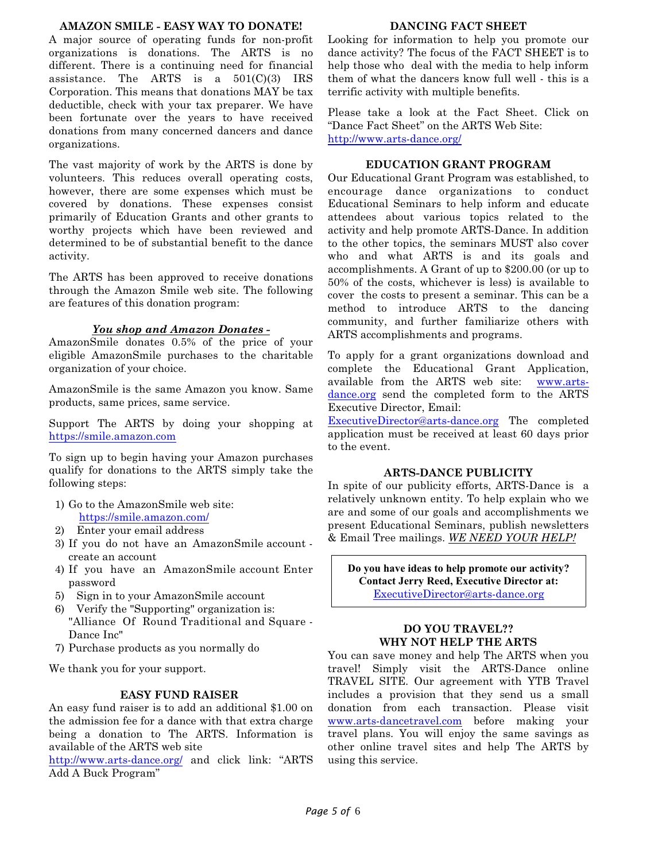#### **AMAZON SMILE - EASY WAY TO DONATE!**

A major source of operating funds for non-profit organizations is donations. The ARTS is no different. There is a continuing need for financial assistance. The ARTS is a  $501(C)(3)$  IRS Corporation. This means that donations MAY be tax deductible, check with your tax preparer. We have been fortunate over the years to have received donations from many concerned dancers and dance organizations.

The vast majority of work by the ARTS is done by volunteers. This reduces overall operating costs, however, there are some expenses which must be covered by donations. These expenses consist primarily of Education Grants and other grants to worthy projects which have been reviewed and determined to be of substantial benefit to the dance activity.

The ARTS has been approved to receive donations through the Amazon Smile web site. The following are features of this donation program:

### *You shop and Amazon Donates -*

AmazonSmile donates 0.5% of the price of your eligible AmazonSmile purchases to the charitable organization of your choice.

AmazonSmile is the same Amazon you know. Same products, same prices, same service.

Support The ARTS by doing your shopping at <https://smile.amazon.com>

To sign up to begin having your Amazon purchases qualify for donations to the ARTS simply take the following steps:

- 1) Go to the AmazonSmile web site: <https://smile.amazon.com/>
- 2) Enter your email address
- 3) If you do not have an AmazonSmile account create an account
- 4) If you have an AmazonSmile account Enter password
- 5) Sign in to your AmazonSmile account
- 6) Verify the "Supporting" organization is: "Alliance Of Round Traditional and Square - Dance Inc"
- 7) Purchase products as you normally do

We thank you for your support.

#### **EASY FUND RAISER**

An easy fund raiser is to add an additional \$1.00 on the admission fee for a dance with that extra charge being a donation to The ARTS. Information is available of the ARTS web site

[http://www.arts-dance.org/]((http://www.arts-dance.org/) and click link: "ARTS Add A Buck Program"

#### **DANCING FACT SHEET**

Looking for information to help you promote our dance activity? The focus of the FACT SHEET is to help those who deal with the media to help inform them of what the dancers know full well - this is a terrific activity with multiple benefits.

Please take a look at the Fact Sheet. Click on "Dance Fact Sheet" on the ARTS Web Site: <http://www.arts-dance.org/>

# **EDUCATION GRANT PROGRAM**

Our Educational Grant Program was established, to encourage dance organizations to conduct Educational Seminars to help inform and educate attendees about various topics related to the activity and help promote ARTS-Dance. In addition to the other topics, the seminars MUST also cover who and what ARTS is and its goals and accomplishments. A Grant of up to \$200.00 (or up to 50% of the costs, whichever is less) is available to cover the costs to present a seminar. This can be a method to introduce ARTS to the dancing community, and further familiarize others with ARTS accomplishments and programs.

To apply for a grant organizations download and complete the Educational Grant Application, available from the ARTS web site: [www.arts](http://www.arts-dance.org)[dance.org](http://www.arts-dance.org) send the completed form to the ARTS Executive Director, Email:

[ExecutiveDirector@arts-dance.org](mailto:ExecutiveDirector@arts-dance.org) The completed application must be received at least 60 days prior to the event.

# **ARTS-DANCE PUBLICITY**

In spite of our publicity efforts, ARTS-Dance is a relatively unknown entity. To help explain who we are and some of our goals and accomplishments we present Educational Seminars, publish newsletters & Email Tree mailings. *WE NEED YOUR HELP!*

**Do you have ideas to help promote our activity? Contact Jerry Reed, Executive Director at:** [ExecutiveDirector@arts-dance.org](mailto:ExecutiveDirector@arts-dance.org)

#### **DO YOU TRAVEL?? WHY NOT HELP THE ARTS**

You can save money and help The ARTS when you travel! Simply visit the ARTS-Dance online TRAVEL SITE. Our agreement with YTB Travel includes a provision that they send us a small donation from each transaction. Please visit [www.arts-dancetravel.com](http://www.arts-dancetravel.com) before making your travel plans. You will enjoy the same savings as other online travel sites and help The ARTS by using this service.